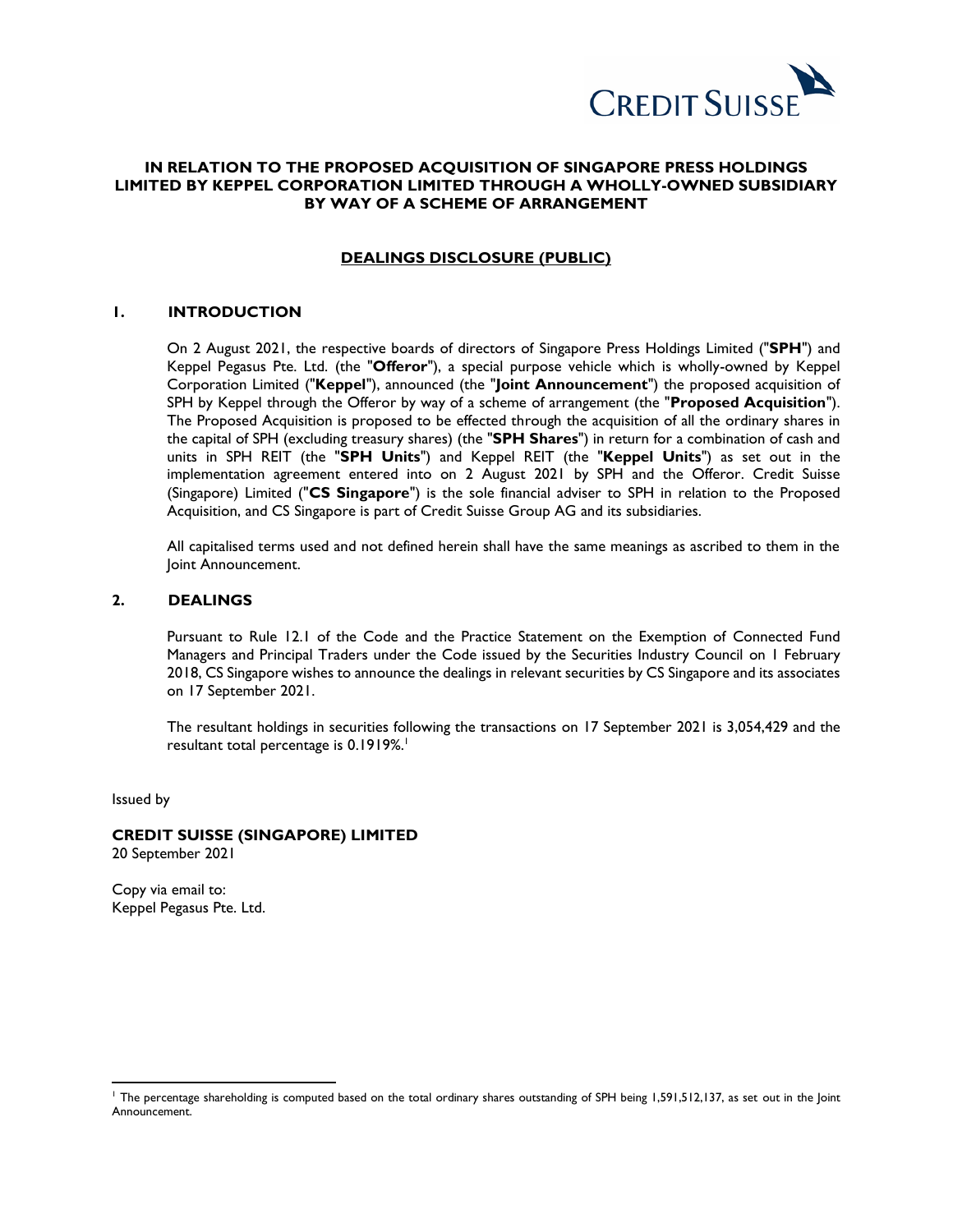

# **IN RELATION TO THE PROPOSED ACQUISITION OF SINGAPORE PRESS HOLDINGS LIMITED BY KEPPEL CORPORATION LIMITED THROUGH A WHOLLY-OWNED SUBSIDIARY BY WAY OF A SCHEME OF ARRANGEMENT**

# **DEALINGS DISCLOSURE (PUBLIC)**

# **1. INTRODUCTION**

On 2 August 2021, the respective boards of directors of Singapore Press Holdings Limited ("**SPH**") and Keppel Pegasus Pte. Ltd. (the "**Offeror**"), a special purpose vehicle which is wholly-owned by Keppel Corporation Limited ("**Keppel**"), announced (the "**Joint Announcement**") the proposed acquisition of SPH by Keppel through the Offeror by way of a scheme of arrangement (the "**Proposed Acquisition**"). The Proposed Acquisition is proposed to be effected through the acquisition of all the ordinary shares in the capital of SPH (excluding treasury shares) (the "**SPH Shares**") in return for a combination of cash and units in SPH REIT (the "**SPH Units**") and Keppel REIT (the "**Keppel Units**") as set out in the implementation agreement entered into on 2 August 2021 by SPH and the Offeror. Credit Suisse (Singapore) Limited ("**CS Singapore**") is the sole financial adviser to SPH in relation to the Proposed Acquisition, and CS Singapore is part of Credit Suisse Group AG and its subsidiaries.

All capitalised terms used and not defined herein shall have the same meanings as ascribed to them in the Joint Announcement.

# **2. DEALINGS**

Pursuant to Rule 12.1 of the Code and the Practice Statement on the Exemption of Connected Fund Managers and Principal Traders under the Code issued by the Securities Industry Council on 1 February 2018, CS Singapore wishes to announce the dealings in relevant securities by CS Singapore and its associates on 17 September 2021.

The resultant holdings in securities following the transactions on 17 September 2021 is 3,054,429 and the resultant total percentage is 0.1919%. 1

Issued by

 $\overline{a}$ 

# **CREDIT SUISSE (SINGAPORE) LIMITED**

20 September 2021

Copy via email to: Keppel Pegasus Pte. Ltd.

<sup>1</sup> The percentage shareholding is computed based on the total ordinary shares outstanding of SPH being 1,591,512,137, as set out in the Joint Announcement.